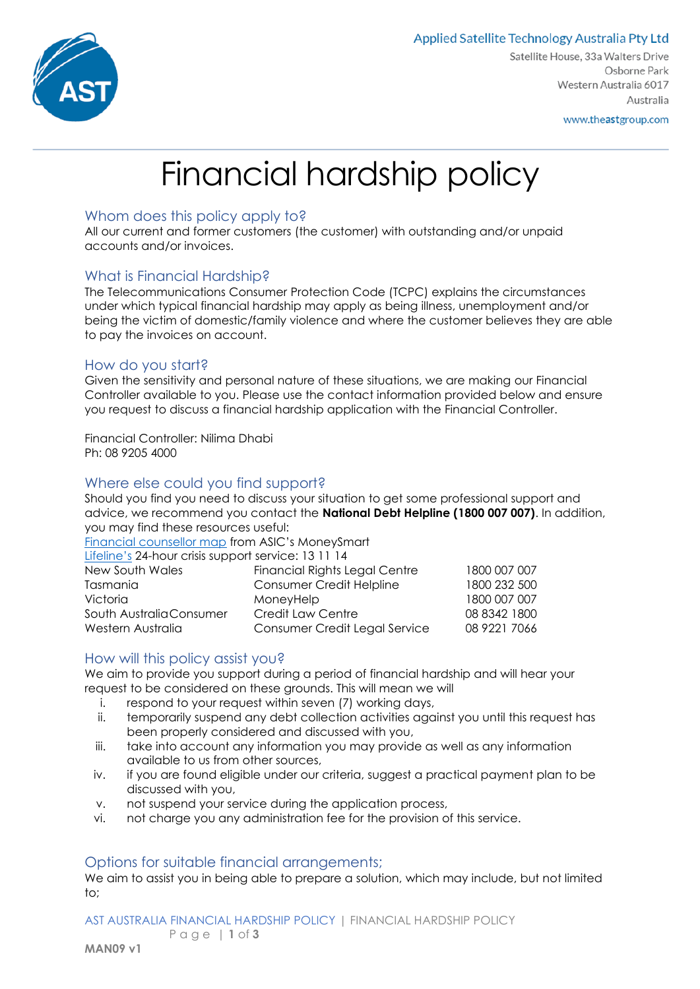

Applied Satellite Technology Australia Pty Ltd

Satellite House, 33a Walters Drive Osborne Park Western Australia 6017 Australia

www.theastgroup.com

# Financial hardship policy

## Whom does this policy apply to?

All our current and former customers (the customer) with outstanding and/or unpaid accounts and/or invoices.

## What is Financial Hardship?

The Telecommunications Consumer Protection Code (TCPC) explains the circumstances under which typical financial hardship may apply as being illness, unemployment and/or being the victim of domestic/family violence and where the customer believes they are able to pay the invoices on account.

## How do you start?

Given the sensitivity and personal nature of these situations, we are making our Financial Controller available to you. Please use the contact information provided below and ensure you request to discuss a financial hardship application with the Financial Controller.

Financial Controller: Nilima Dhabi Ph: 08 9205 4000

## Where else could you find support?

Should you find you need to discuss your situation to get some professional support and advice, we recommend you contact the **National Debt Helpline (1800 007 007)**. In addition, you may find these resources useful:

[Financial counsellor map](https://www.moneysmart.gov.au/managing-your-money/managing-debts/financial-counselling/find-a-financial-counsellor) from ASIC's MoneySmart

[Lifeline's](https://www.lifeline.org.au/) 24-hour crisis support service: 13 11 14

| New South Wales          | <b>Financial Rights Legal Centre</b> | 1800 007 007 |
|--------------------------|--------------------------------------|--------------|
| Tasmania                 | Consumer Credit Helpline             | 1800 232 500 |
| Victoria                 | MoneyHelp                            | 1800 007 007 |
| South Australia Consumer | Credit Law Centre                    | 08 8342 1800 |
| Western Australia        | Consumer Credit Legal Service        | 08 9221 7066 |

## How will this policy assist you?

**MAN09 v1**

We aim to provide you support during a period of financial hardship and will hear your request to be considered on these grounds. This will mean we will

- i. respond to your request within seven (7) working days,
- ii. temporarily suspend any debt collection activities against you until this request has been properly considered and discussed with you,
- iii. take into account any information you may provide as well as any information available to us from other sources,
- iv. if you are found eligible under our criteria, suggest a practical payment plan to be discussed with you,
- v. not suspend your service during the application process,
- vi. not charge you any administration fee for the provision of this service.

## Options for suitable financial arrangements;

We aim to assist you in being able to prepare a solution, which may include, but not limited to;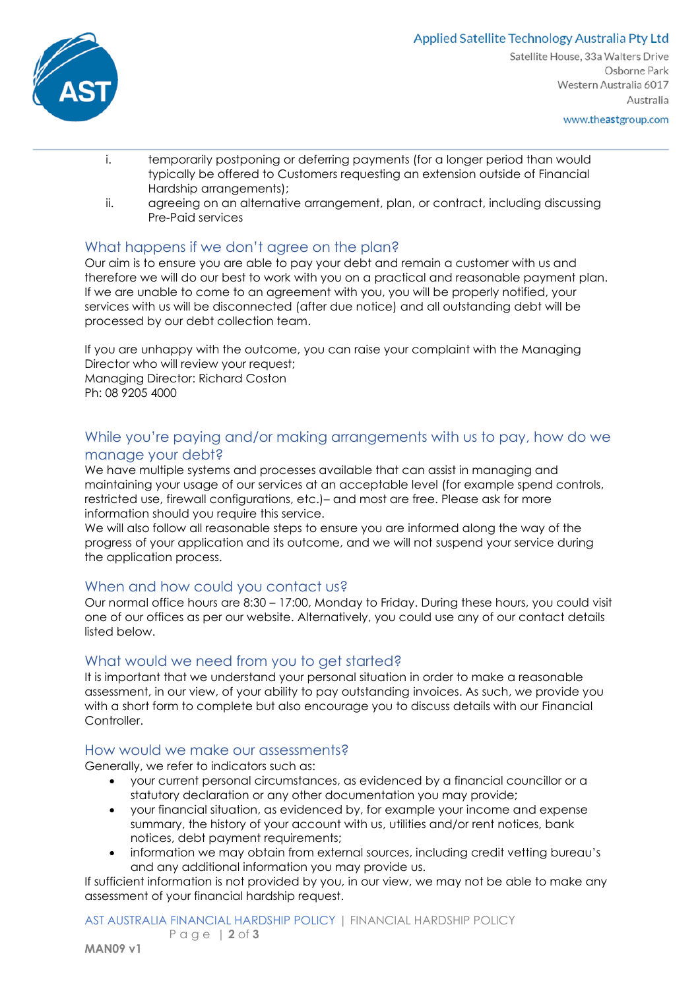#### Applied Satellite Technology Australia Pty Ltd



Satellite House, 33a Walters Drive Osborne Park Western Australia 6017 Australia

www.theastgroup.com

- i. temporarily postponing or deferring payments (for a longer period than would typically be offered to Customers requesting an extension outside of Financial Hardship arrangements);
- ii. agreeing on an alternative arrangement, plan, or contract, including discussing Pre-Paid services

# What happens if we don't agree on the plan?

Our aim is to ensure you are able to pay your debt and remain a customer with us and therefore we will do our best to work with you on a practical and reasonable payment plan. If we are unable to come to an agreement with you, you will be properly notified, your services with us will be disconnected (after due notice) and all outstanding debt will be processed by our debt collection team.

If you are unhappy with the outcome, you can raise your complaint with the Managing Director who will review your request; Managing Director: Richard Coston Ph: 08 9205 4000

## While you're paying and/or making arrangements with us to pay, how do we manage your debt?

We have multiple systems and processes available that can assist in managing and maintaining your usage of our services at an acceptable level (for example spend controls, restricted use, firewall configurations, etc.)– and most are free. Please ask for more information should you require this service.

We will also follow all reasonable steps to ensure you are informed along the way of the progress of your application and its outcome, and we will not suspend your service during the application process.

# When and how could you contact us?

Our normal office hours are 8:30 – 17:00, Monday to Friday. During these hours, you could visit one of our offices as per our website. Alternatively, you could use any of our contact details listed below.

# What would we need from you to get started?

It is important that we understand your personal situation in order to make a reasonable assessment, in our view, of your ability to pay outstanding invoices. As such, we provide you with a short form to complete but also encourage you to discuss details with our Financial Controller.

## How would we make our assessments?

Generally, we refer to indicators such as:

- your current personal circumstances, as evidenced by a financial councillor or a statutory declaration or any other documentation you may provide;
- your financial situation, as evidenced by, for example your income and expense summary, the history of your account with us, utilities and/or rent notices, bank notices, debt payment requirements;
- information we may obtain from external sources, including credit vetting bureau's and any additional information you may provide us.

If sufficient information is not provided by you, in our view, we may not be able to make any assessment of your financial hardship request.